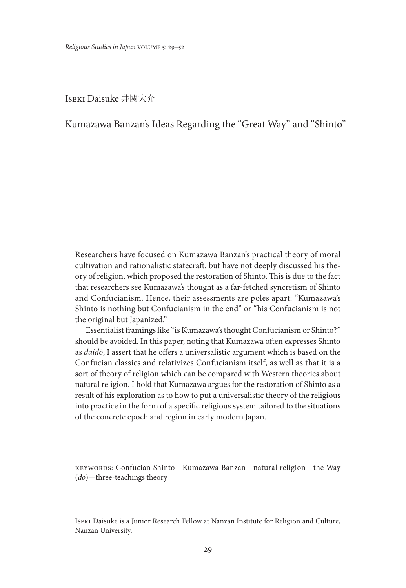Iseki Daisuke 井関大介

# Kumazawa Banzan's Ideas Regarding the "Great Way" and "Shinto"

Researchers have focused on Kumazawa Banzan's practical theory of moral cultivation and rationalistic statecraft, but have not deeply discussed his theory of religion, which proposed the restoration of Shinto. This is due to the fact that researchers see Kumazawa's thought as a far-fetched syncretism of Shinto and Confucianism. Hence, their assessments are poles apart: "Kumazawa's Shinto is nothing but Confucianism in the end" or "his Confucianism is not the original but Japanized."

Essentialist framings like "is Kumazawa's thought Confucianism or Shinto?" should be avoided. In this paper, noting that Kumazawa often expresses Shinto as *daidō*, I assert that he offers a universalistic argument which is based on the Confucian classics and relativizes Confucianism itself, as well as that it is a sort of theory of religion which can be compared with Western theories about natural religion. I hold that Kumazawa argues for the restoration of Shinto as a result of his exploration as to how to put a universalistic theory of the religious into practice in the form of a specific religious system tailored to the situations of the concrete epoch and region in early modern Japan.

keywords: Confucian Shinto—Kumazawa Banzan—natural religion—the Way (*dō*)—three-teachings theory

Iseki Daisuke is a Junior Research Fellow at Nanzan Institute for Religion and Culture, Nanzan University.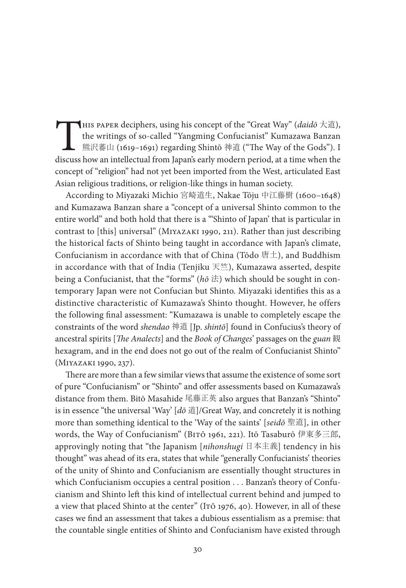This paper deciphers, using his concept of the "Great Way" (*daidō* 大道),<br>the writings of so-called "Yangming Confucianist" Kumazawa Banzan<br>熊沢蕃山 (1619–1691) regarding Shintō 神道 ("The Way of the Gods"). I<br>discuss how an int the writings of so-called "Yangming Confucianist" Kumazawa Banzan 熊沢蕃山 (1619–1691) regarding Shintō 神道 ("The Way of the Gods"). I discuss how an intellectual from Japan's early modern period, at a time when the concept of "religion" had not yet been imported from the West, articulated East Asian religious traditions, or religion-like things in human society.

According to Miyazaki Michio 宮崎道生, Nakae Tōju 中江藤樹 (1600–1648) and Kumazawa Banzan share a "concept of a universal Shinto common to the entire world" and both hold that there is a "'Shinto of Japan' that is particular in contrast to [this] universal" (Miyazaki 1990, 211). Rather than just describing the historical facts of Shinto being taught in accordance with Japan's climate, Confucianism in accordance with that of China (Tōdo 唐土), and Buddhism in accordance with that of India (Tenjiku  $\mathcal{F}_{\pm}^{\infty}$ ), Kumazawa asserted, despite being a Confucianist, that the "forms" (*hō* 法) which should be sought in contemporary Japan were not Confucian but Shinto. Miyazaki identifies this as a distinctive characteristic of Kumazawa's Shinto thought. However, he offers the following final assessment: "Kumazawa is unable to completely escape the constraints of the word *shendao* 神道 [Jp. *shintō*] found in Confucius's theory of ancestral spirits [*The Analects*] and the *Book of Changes*' passages on the *guan* 観 hexagram, and in the end does not go out of the realm of Confucianist Shinto" (Miyazaki 1990, 237).

There are more than a few similar views that assume the existence of some sort of pure "Confucianism" or "Shinto" and offer assessments based on Kumazawa's distance from them. Bitō Masahide 尾藤正英 also argues that Banzan's "Shinto" is in essence "the universal 'Way' [*dō* 道]/Great Way, and concretely it is nothing more than something identical to the 'Way of the saints' [*seidō* 聖道], in other words, the Way of Confucianism" (Bitō 1961, 221). Itō Tasaburō 伊東多三郎, approvingly noting that "the Japanism [*nihonshugi* 日本主義] tendency in his thought" was ahead of its era, states that while "generally Confucianists' theories of the unity of Shinto and Confucianism are essentially thought structures in which Confucianism occupies a central position . . . Banzan's theory of Confucianism and Shinto left this kind of intellectual current behind and jumped to a view that placed Shinto at the center" (Irō 1976, 40). However, in all of these cases we find an assessment that takes a dubious essentialism as a premise: that the countable single entities of Shinto and Confucianism have existed through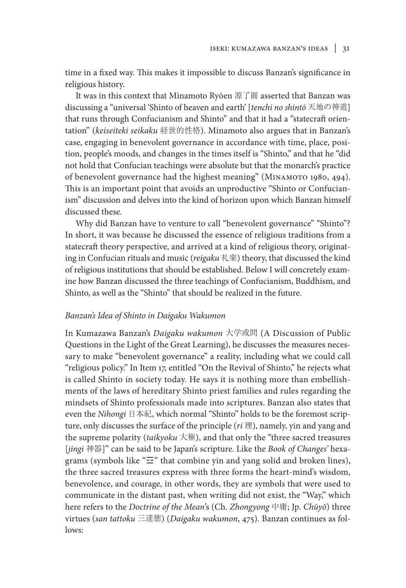time in a fixed way. This makes it impossible to discuss Banzan's significance in religious history.

It was in this context that Minamoto Ryōen 源了圓 asserted that Banzan was discussing a "universal 'Shinto of heaven and earth' [*tenchi no shintō* 天地の神道] that runs through Confucianism and Shinto" and that it had a "statecraft orientation" (*keiseiteki seikaku* 経世的性格). Minamoto also argues that in Banzan's case, engaging in benevolent governance in accordance with time, place, position, people's moods, and changes in the times itself is "Shinto," and that he "did not hold that Confucian teachings were absolute but that the monarch's practice of benevolent governance had the highest meaning" (МINAMOTO 1980, 494). This is an important point that avoids an unproductive "Shinto or Confucianism" discussion and delves into the kind of horizon upon which Banzan himself discussed these.

Why did Banzan have to venture to call "benevolent governance" "Shinto"? In short, it was because he discussed the essence of religious traditions from a statecraft theory perspective, and arrived at a kind of religious theory, originating in Confucian rituals and music (*reigaku* 礼楽) theory, that discussed the kind of religious institutions that should be established. Below I will concretely examine how Banzan discussed the three teachings of Confucianism, Buddhism, and Shinto, as well as the "Shinto" that should be realized in the future.

#### *Banzan's Idea of Shinto in Daigaku Wakumon*

In Kumazawa Banzan's *Daigaku wakumon* 大学或問 (A Discussion of Public Questions in the Light of the Great Learning), he discusses the measures necessary to make "benevolent governance" a reality, including what we could call "religious policy." In Item 17, entitled "On the Revival of Shinto," he rejects what is called Shinto in society today. He says it is nothing more than embellishments of the laws of hereditary Shinto priest families and rules regarding the mindsets of Shinto professionals made into scriptures. Banzan also states that even the *Nihongi* 日本紀, which normal "Shinto" holds to be the foremost scripture, only discusses the surface of the principle (*ri* 理), namely, yin and yang and the supreme polarity (*taikyoku* 大極), and that only the "three sacred treasures [*jingi* 神器]" can be said to be Japan's scripture. Like the *Book of Changes'* hexagrams (symbols like "☲" that combine yin and yang solid and broken lines), the three sacred treasures express with three forms the heart-mind's wisdom, benevolence, and courage, in other words, they are symbols that were used to communicate in the distant past, when writing did not exist, the "Way," which here refers to the *Doctrine of the Mean*'s (Ch. *Zhongyong* 中庸; Jp. *Chūyō*) three virtues (*san tattoku* 三達徳) (*Daigaku wakumon*, 475). Banzan continues as follows: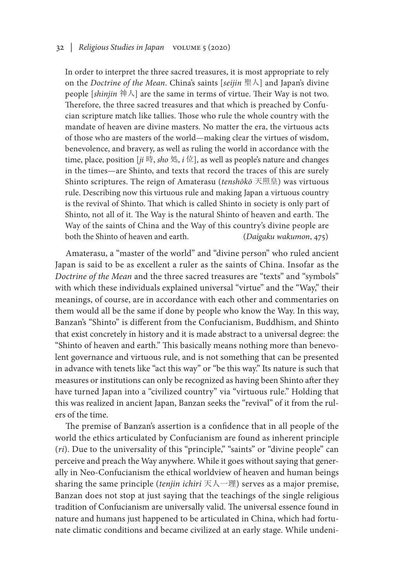## 32 *| Religious Studies in Japan* volume 5 (2020)

In order to interpret the three sacred treasures, it is most appropriate to rely on the *Doctrine of the Mean*. China's saints [*seijin* 聖人] and Japan's divine people [*shinjin* 神人] are the same in terms of virtue. Their Way is not two. Therefore, the three sacred treasures and that which is preached by Confucian scripture match like tallies. Those who rule the whole country with the mandate of heaven are divine masters. No matter the era, the virtuous acts of those who are masters of the world—making clear the virtues of wisdom, benevolence, and bravery, as well as ruling the world in accordance with the time, place, position [ $ji$  時, *sho* 処,  $i \oplus$ ], as well as people's nature and changes in the times—are Shinto, and texts that record the traces of this are surely Shinto scriptures. The reign of Amaterasu (*tenshōkō* 天照皇) was virtuous rule. Describing now this virtuous rule and making Japan a virtuous country is the revival of Shinto. That which is called Shinto in society is only part of Shinto, not all of it. The Way is the natural Shinto of heaven and earth. The Way of the saints of China and the Way of this country's divine people are both the Shinto of heaven and earth. (*Daigaku wakumon*, 475)

Amaterasu, a "master of the world" and "divine person" who ruled ancient Japan is said to be as excellent a ruler as the saints of China. Insofar as the *Doctrine of the Mean* and the three sacred treasures are "texts" and "symbols" with which these individuals explained universal "virtue" and the "Way," their meanings, of course, are in accordance with each other and commentaries on them would all be the same if done by people who know the Way. In this way, Banzan's "Shinto" is different from the Confucianism, Buddhism, and Shinto that exist concretely in history and it is made abstract to a universal degree: the "Shinto of heaven and earth." This basically means nothing more than benevolent governance and virtuous rule, and is not something that can be presented in advance with tenets like "act this way" or "be this way." Its nature is such that measures or institutions can only be recognized as having been Shinto after they have turned Japan into a "civilized country" via "virtuous rule." Holding that this was realized in ancient Japan, Banzan seeks the "revival" of it from the rulers of the time.

The premise of Banzan's assertion is a confidence that in all people of the world the ethics articulated by Confucianism are found as inherent principle (*ri*). Due to the universality of this "principle," "saints" or "divine people" can perceive and preach the Way anywhere. While it goes without saying that generally in Neo-Confucianism the ethical worldview of heaven and human beings sharing the same principle (*tenjin ichiri* 天人一理) serves as a major premise, Banzan does not stop at just saying that the teachings of the single religious tradition of Confucianism are universally valid. The universal essence found in nature and humans just happened to be articulated in China, which had fortunate climatic conditions and became civilized at an early stage. While undeni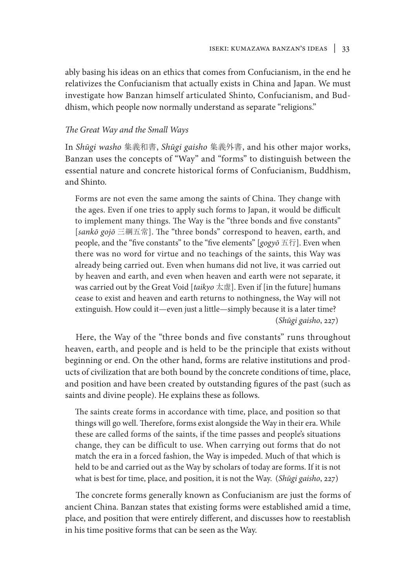ably basing his ideas on an ethics that comes from Confucianism, in the end he relativizes the Confucianism that actually exists in China and Japan. We must investigate how Banzan himself articulated Shinto, Confucianism, and Buddhism, which people now normally understand as separate "religions."

# *The Great Way and the Small Ways*

In *Shūgi washo* 集義和書, *Shūgi gaisho* 集義外書, and his other major works, Banzan uses the concepts of "Way" and "forms" to distinguish between the essential nature and concrete historical forms of Confucianism, Buddhism, and Shinto.

Forms are not even the same among the saints of China. They change with the ages. Even if one tries to apply such forms to Japan, it would be difficult to implement many things. The Way is the "three bonds and five constants" [*sankō gojō* 三綱五常]. The "three bonds" correspond to heaven, earth, and people, and the "five constants" to the "five elements" [*gogyō* 五行]. Even when there was no word for virtue and no teachings of the saints, this Way was already being carried out. Even when humans did not live, it was carried out by heaven and earth, and even when heaven and earth were not separate, it was carried out by the Great Void [*taikyo* 太虚]. Even if [in the future] humans cease to exist and heaven and earth returns to nothingness, the Way will not extinguish. How could it—even just a little—simply because it is a later time? (*Shūgi gaisho*, 227)

Here, the Way of the "three bonds and five constants" runs throughout heaven, earth, and people and is held to be the principle that exists without beginning or end. On the other hand, forms are relative institutions and products of civilization that are both bound by the concrete conditions of time, place, and position and have been created by outstanding figures of the past (such as saints and divine people). He explains these as follows.

The saints create forms in accordance with time, place, and position so that things will go well. Therefore, forms exist alongside the Way in their era. While these are called forms of the saints, if the time passes and people's situations change, they can be difficult to use. When carrying out forms that do not match the era in a forced fashion, the Way is impeded. Much of that which is held to be and carried out as the Way by scholars of today are forms. If it is not what is best for time, place, and position, it is not the Way. (*Shūgi gaisho*, 227)

The concrete forms generally known as Confucianism are just the forms of ancient China. Banzan states that existing forms were established amid a time, place, and position that were entirely different, and discusses how to reestablish in his time positive forms that can be seen as the Way.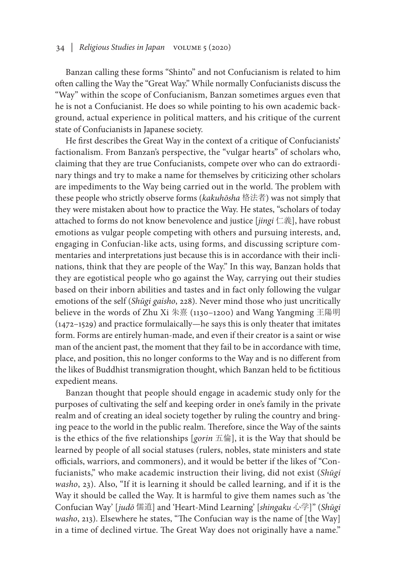Banzan calling these forms "Shinto" and not Confucianism is related to him often calling the Way the "Great Way." While normally Confucianists discuss the "Way" within the scope of Confucianism, Banzan sometimes argues even that he is not a Confucianist. He does so while pointing to his own academic background, actual experience in political matters, and his critique of the current state of Confucianists in Japanese society.

He first describes the Great Way in the context of a critique of Confucianists' factionalism. From Banzan's perspective, the "vulgar hearts" of scholars who, claiming that they are true Confucianists, compete over who can do extraordinary things and try to make a name for themselves by criticizing other scholars are impediments to the Way being carried out in the world. The problem with these people who strictly observe forms (*kakuhōsha* 格法者) was not simply that they were mistaken about how to practice the Way. He states, "scholars of today attached to forms do not know benevolence and justice [*jingi* 仁義], have robust emotions as vulgar people competing with others and pursuing interests, and, engaging in Confucian-like acts, using forms, and discussing scripture commentaries and interpretations just because this is in accordance with their inclinations, think that they are people of the Way." In this way, Banzan holds that they are egotistical people who go against the Way, carrying out their studies based on their inborn abilities and tastes and in fact only following the vulgar emotions of the self (*Shūgi gaisho*, 228). Never mind those who just uncritically believe in the words of Zhu Xi 朱熹 (1130–1200) and Wang Yangming 王陽明 (1472–1529) and practice formulaically—he says this is only theater that imitates form. Forms are entirely human-made, and even if their creator is a saint or wise man of the ancient past, the moment that they fail to be in accordance with time, place, and position, this no longer conforms to the Way and is no different from the likes of Buddhist transmigration thought, which Banzan held to be fictitious expedient means.

Banzan thought that people should engage in academic study only for the purposes of cultivating the self and keeping order in one's family in the private realm and of creating an ideal society together by ruling the country and bringing peace to the world in the public realm. Therefore, since the Way of the saints is the ethics of the five relationships [*gorin* 五倫], it is the Way that should be learned by people of all social statuses (rulers, nobles, state ministers and state officials, warriors, and commoners), and it would be better if the likes of "Confucianists," who make academic instruction their living, did not exist (*Shūgi washo*, 23). Also, "If it is learning it should be called learning, and if it is the Way it should be called the Way. It is harmful to give them names such as 'the Confucian Way' [*judō* 儒道] and 'Heart-Mind Learning' [*shingaku* 心学]" (*Shūgi washo*, 213). Elsewhere he states, "The Confucian way is the name of [the Way] in a time of declined virtue. The Great Way does not originally have a name."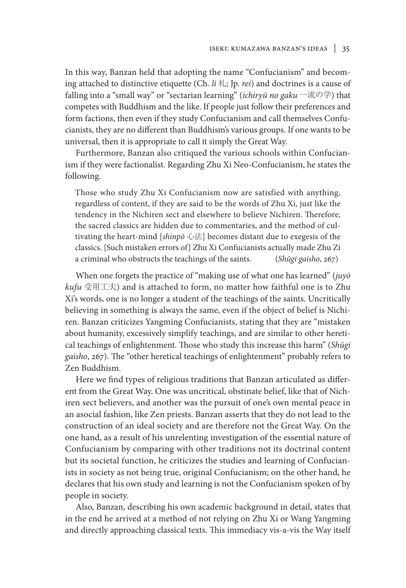In this way, Banzan held that adopting the name "Confucianism" and becoming attached to distinctive etiquette (Ch. *li* 礼; Jp. *rei*) and doctrines is a cause of falling into a "small way" or "sectarian learning" (*ichiryū no gaku* 一流の学) that competes with Buddhism and the like. If people just follow their preferences and form factions, then even if they study Confucianism and call themselves Confucianists, they are no different than Buddhism's various groups. If one wants to be universal, then it is appropriate to call it simply the Great Way.

Furthermore, Banzan also critiqued the various schools within Confucianism if they were factionalist. Regarding Zhu Xi Neo-Confucianism, he states the following.

Those who study Zhu Xi Confucianism now are satisfied with anything, regardless of content, if they are said to be the words of Zhu Xi, just like the tendency in the Nichiren sect and elsewhere to believe Nichiren. Therefore, the sacred classics are hidden due to commentaries, and the method of cultivating the heart-mind [*shinpō* 心法] becomes distant due to exegesis of the classics. [Such mistaken errors of] Zhu Xi Confucianists actually made Zhu Zi a criminal who obstructs the teachings of the saints. (*Shūgi gaisho*, 267)

When one forgets the practice of "making use of what one has learned" (*juyō kufu* 受用工夫) and is attached to form, no matter how faithful one is to Zhu Xi's words, one is no longer a student of the teachings of the saints. Uncritically believing in something is always the same, even if the object of belief is Nichiren. Banzan criticizes Yangming Confucianists, stating that they are "mistaken about humanity, excessively simplify teachings, and are similar to other heretical teachings of enlightenment. Those who study this increase this harm" (*Shūgi gaisho*, 267). The "other heretical teachings of enlightenment" probably refers to Zen Buddhism.

Here we find types of religious traditions that Banzan articulated as different from the Great Way. One was uncritical, obstinate belief, like that of Nichiren sect believers, and another was the pursuit of one's own mental peace in an asocial fashion, like Zen priests. Banzan asserts that they do not lead to the construction of an ideal society and are therefore not the Great Way. On the one hand, as a result of his unrelenting investigation of the essential nature of Confucianism by comparing with other traditions not its doctrinal content but its societal function, he criticizes the studies and learning of Confucianists in society as not being true, original Confucianism; on the other hand, he declares that his own study and learning is not the Confucianism spoken of by people in society.

Also, Banzan, describing his own academic background in detail, states that in the end he arrived at a method of not relying on Zhu Xi or Wang Yangming and directly approaching classical texts. This immediacy vis-a-vis the Way itself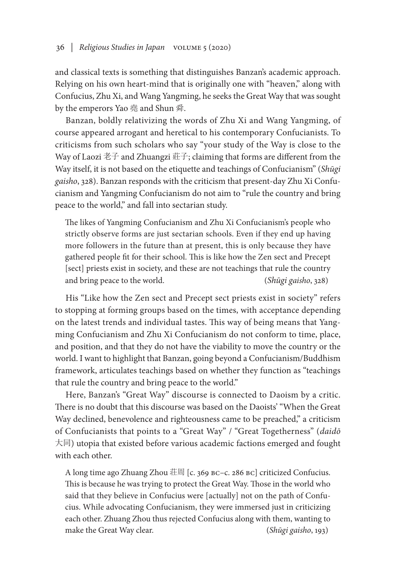and classical texts is something that distinguishes Banzan's academic approach. Relying on his own heart-mind that is originally one with "heaven," along with Confucius, Zhu Xi, and Wang Yangming, he seeks the Great Way that was sought by the emperors Yao 堯 and Shun 舜.

Banzan, boldly relativizing the words of Zhu Xi and Wang Yangming, of course appeared arrogant and heretical to his contemporary Confucianists. To criticisms from such scholars who say "your study of the Way is close to the Way of Laozi 老子 and Zhuangzi 莊子; claiming that forms are different from the Way itself, it is not based on the etiquette and teachings of Confucianism" (*Shūgi gaisho*, 328). Banzan responds with the criticism that present-day Zhu Xi Confucianism and Yangming Confucianism do not aim to "rule the country and bring peace to the world," and fall into sectarian study.

The likes of Yangming Confucianism and Zhu Xi Confucianism's people who strictly observe forms are just sectarian schools. Even if they end up having more followers in the future than at present, this is only because they have gathered people fit for their school. This is like how the Zen sect and Precept [sect] priests exist in society, and these are not teachings that rule the country and bring peace to the world. (*Shūgi gaisho*, 328)

His "Like how the Zen sect and Precept sect priests exist in society" refers to stopping at forming groups based on the times, with acceptance depending on the latest trends and individual tastes. This way of being means that Yangming Confucianism and Zhu Xi Confucianism do not conform to time, place, and position, and that they do not have the viability to move the country or the world. I want to highlight that Banzan, going beyond a Confucianism/Buddhism framework, articulates teachings based on whether they function as "teachings that rule the country and bring peace to the world."

Here, Banzan's "Great Way" discourse is connected to Daoism by a critic. There is no doubt that this discourse was based on the Daoists' "When the Great Way declined, benevolence and righteousness came to be preached," a criticism of Confucianists that points to a "Great Way" / "Great Togetherness" (*daidō* 大同) utopia that existed before various academic factions emerged and fought with each other.

A long time ago Zhuang Zhou 荘周 [c. 369 BC–c. 286 BC] criticized Confucius. This is because he was trying to protect the Great Way. Those in the world who said that they believe in Confucius were [actually] not on the path of Confucius. While advocating Confucianism, they were immersed just in criticizing each other. Zhuang Zhou thus rejected Confucius along with them, wanting to make the Great Way clear. (*Shūgi gaisho*, 193)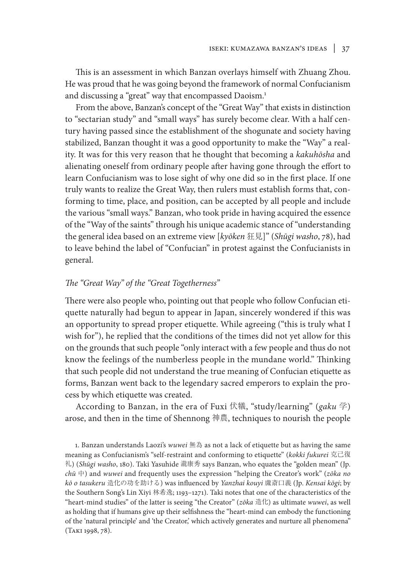This is an assessment in which Banzan overlays himself with Zhuang Zhou. He was proud that he was going beyond the framework of normal Confucianism and discussing a "great" way that encompassed Daoism.<sup>1</sup>

From the above, Banzan's concept of the "Great Way" that exists in distinction to "sectarian study" and "small ways" has surely become clear. With a half century having passed since the establishment of the shogunate and society having stabilized, Banzan thought it was a good opportunity to make the "Way" a reality. It was for this very reason that he thought that becoming a *kakuhōsha* and alienating oneself from ordinary people after having gone through the effort to learn Confucianism was to lose sight of why one did so in the first place. If one truly wants to realize the Great Way, then rulers must establish forms that, conforming to time, place, and position, can be accepted by all people and include the various "small ways." Banzan, who took pride in having acquired the essence of the "Way of the saints" through his unique academic stance of "understanding the general idea based on an extreme view [*kyōken* 狂見]" (*Shūgi washo*, 78), had to leave behind the label of "Confucian" in protest against the Confucianists in general.

# *The "Great Way" of the "Great Togetherness"*

There were also people who, pointing out that people who follow Confucian etiquette naturally had begun to appear in Japan, sincerely wondered if this was an opportunity to spread proper etiquette. While agreeing ("this is truly what I wish for"), he replied that the conditions of the times did not yet allow for this on the grounds that such people "only interact with a few people and thus do not know the feelings of the numberless people in the mundane world." Thinking that such people did not understand the true meaning of Confucian etiquette as forms, Banzan went back to the legendary sacred emperors to explain the process by which etiquette was created.

According to Banzan, in the era of Fuxi 伏犠, "study/learning" (*gaku* 学) arose, and then in the time of Shennong 神農, techniques to nourish the people

1. Banzan understands Laozi's *wuwei* 無為 as not a lack of etiquette but as having the same meaning as Confucianism's "self-restraint and conforming to etiquette" (*kokki fukurei* 克己復 礼) (*Shūgi washo*, 180). Taki Yasuhide 瀧康秀 says Banzan, who equates the "golden mean" (Jp. *chū* 中) and *wuwei* and frequently uses the expression "helping the Creator's work" (*zōka no kō o tasukeru* 造化の功を助ける) was influenced by *Yanzhai kouyi* 鬳斎口義 (Jp. *Kensai kōgi*; by the Southern Song's Lin Xiyi 林希逸; 1193–1271). Taki notes that one of the characteristics of the "heart-mind studies" of the latter is seeing "the Creator" (*zōka* 造化) as ultimate *wuwei*, as well as holding that if humans give up their selfishness the "heart-mind can embody the functioning of the 'natural principle' and 'the Creator,' which actively generates and nurture all phenomena" (Taki 1998, 78).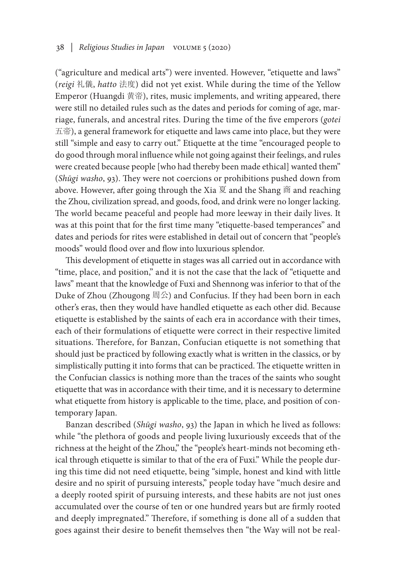("agriculture and medical arts") were invented. However, "etiquette and laws" (*reigi* 礼儀, *hatto* 法度) did not yet exist. While during the time of the Yellow Emperor (Huangdi 黄帝), rites, music implements, and writing appeared, there were still no detailed rules such as the dates and periods for coming of age, marriage, funerals, and ancestral rites. During the time of the five emperors (*gotei* 五帝), a general framework for etiquette and laws came into place, but they were still "simple and easy to carry out." Etiquette at the time "encouraged people to do good through moral influence while not going against their feelings, and rules were created because people [who had thereby been made ethical] wanted them" (*Shūgi washo*, 93). They were not coercions or prohibitions pushed down from above. However, after going through the Xia 夏 and the Shang 商 and reaching the Zhou, civilization spread, and goods, food, and drink were no longer lacking. The world became peaceful and people had more leeway in their daily lives. It was at this point that for the first time many "etiquette-based temperances" and dates and periods for rites were established in detail out of concern that "people's moods" would flood over and flow into luxurious splendor.

This development of etiquette in stages was all carried out in accordance with "time, place, and position," and it is not the case that the lack of "etiquette and laws" meant that the knowledge of Fuxi and Shennong was inferior to that of the Duke of Zhou (Zhougong 周公) and Confucius. If they had been born in each other's eras, then they would have handled etiquette as each other did. Because etiquette is established by the saints of each era in accordance with their times, each of their formulations of etiquette were correct in their respective limited situations. Therefore, for Banzan, Confucian etiquette is not something that should just be practiced by following exactly what is written in the classics, or by simplistically putting it into forms that can be practiced. The etiquette written in the Confucian classics is nothing more than the traces of the saints who sought etiquette that was in accordance with their time, and it is necessary to determine what etiquette from history is applicable to the time, place, and position of contemporary Japan.

Banzan described (*Shūgi washo*, 93) the Japan in which he lived as follows: while "the plethora of goods and people living luxuriously exceeds that of the richness at the height of the Zhou," the "people's heart-minds not becoming ethical through etiquette is similar to that of the era of Fuxi." While the people during this time did not need etiquette, being "simple, honest and kind with little desire and no spirit of pursuing interests," people today have "much desire and a deeply rooted spirit of pursuing interests, and these habits are not just ones accumulated over the course of ten or one hundred years but are firmly rooted and deeply impregnated." Therefore, if something is done all of a sudden that goes against their desire to benefit themselves then "the Way will not be real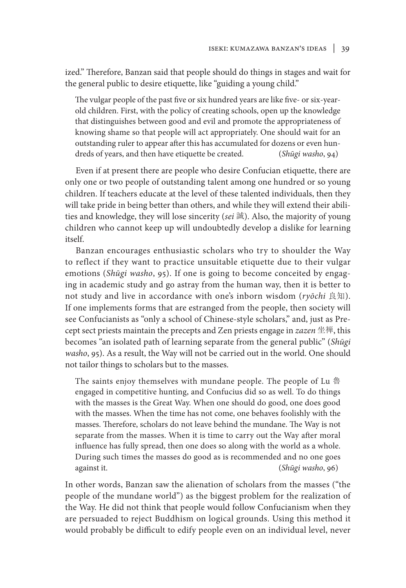ized." Therefore, Banzan said that people should do things in stages and wait for the general public to desire etiquette, like "guiding a young child."

The vulgar people of the past five or six hundred years are like five- or six-yearold children. First, with the policy of creating schools, open up the knowledge that distinguishes between good and evil and promote the appropriateness of knowing shame so that people will act appropriately. One should wait for an outstanding ruler to appear after this has accumulated for dozens or even hundreds of years, and then have etiquette be created. (*Shūgi washo*, 94)

Even if at present there are people who desire Confucian etiquette, there are only one or two people of outstanding talent among one hundred or so young children. If teachers educate at the level of these talented individuals, then they will take pride in being better than others, and while they will extend their abilities and knowledge, they will lose sincerity (*sei* 誠). Also, the majority of young children who cannot keep up will undoubtedly develop a dislike for learning itself.

Banzan encourages enthusiastic scholars who try to shoulder the Way to reflect if they want to practice unsuitable etiquette due to their vulgar emotions (*Shūgi washo*, 95). If one is going to become conceited by engaging in academic study and go astray from the human way, then it is better to not study and live in accordance with one's inborn wisdom (*ryōchi* 良知). If one implements forms that are estranged from the people, then society will see Confucianists as "only a school of Chinese-style scholars," and, just as Precept sect priests maintain the precepts and Zen priests engage in *zazen* 坐禅, this becomes "an isolated path of learning separate from the general public" (*Shūgi washo*, 95). As a result, the Way will not be carried out in the world. One should not tailor things to scholars but to the masses.

The saints enjoy themselves with mundane people. The people of Lu 魯 engaged in competitive hunting, and Confucius did so as well. To do things with the masses is the Great Way. When one should do good, one does good with the masses. When the time has not come, one behaves foolishly with the masses. Therefore, scholars do not leave behind the mundane. The Way is not separate from the masses. When it is time to carry out the Way after moral influence has fully spread, then one does so along with the world as a whole. During such times the masses do good as is recommended and no one goes against it. (*Shūgi washo*, 96)

In other words, Banzan saw the alienation of scholars from the masses ("the people of the mundane world") as the biggest problem for the realization of the Way. He did not think that people would follow Confucianism when they are persuaded to reject Buddhism on logical grounds. Using this method it would probably be difficult to edify people even on an individual level, never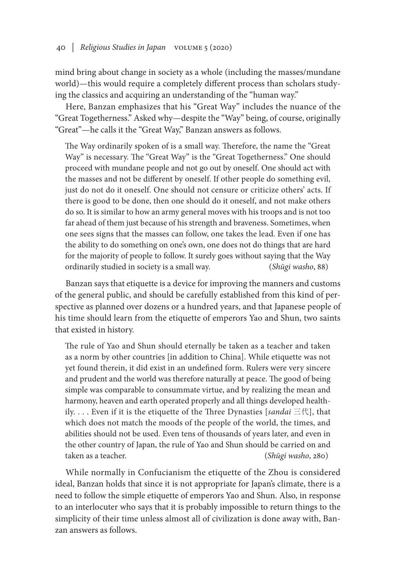mind bring about change in society as a whole (including the masses/mundane world)—this would require a completely different process than scholars studying the classics and acquiring an understanding of the "human way."

Here, Banzan emphasizes that his "Great Way" includes the nuance of the "Great Togetherness." Asked why—despite the "Way" being, of course, originally "Great"—he calls it the "Great Way," Banzan answers as follows.

The Way ordinarily spoken of is a small way. Therefore, the name the "Great Way" is necessary. The "Great Way" is the "Great Togetherness." One should proceed with mundane people and not go out by oneself. One should act with the masses and not be different by oneself. If other people do something evil, just do not do it oneself. One should not censure or criticize others' acts. If there is good to be done, then one should do it oneself, and not make others do so. It is similar to how an army general moves with his troops and is not too far ahead of them just because of his strength and braveness. Sometimes, when one sees signs that the masses can follow, one takes the lead. Even if one has the ability to do something on one's own, one does not do things that are hard for the majority of people to follow. It surely goes without saying that the Way ordinarily studied in society is a small way. (*Shūgi washo*, 88)

Banzan says that etiquette is a device for improving the manners and customs of the general public, and should be carefully established from this kind of perspective as planned over dozens or a hundred years, and that Japanese people of his time should learn from the etiquette of emperors Yao and Shun, two saints that existed in history.

The rule of Yao and Shun should eternally be taken as a teacher and taken as a norm by other countries [in addition to China]. While etiquette was not yet found therein, it did exist in an undefined form. Rulers were very sincere and prudent and the world was therefore naturally at peace. The good of being simple was comparable to consummate virtue, and by realizing the mean and harmony, heaven and earth operated properly and all things developed healthily. . . . Even if it is the etiquette of the Three Dynasties [*sandai* 三代], that which does not match the moods of the people of the world, the times, and abilities should not be used. Even tens of thousands of years later, and even in the other country of Japan, the rule of Yao and Shun should be carried on and taken as a teacher. (*Shūgi washo*, 280)

While normally in Confucianism the etiquette of the Zhou is considered ideal, Banzan holds that since it is not appropriate for Japan's climate, there is a need to follow the simple etiquette of emperors Yao and Shun. Also, in response to an interlocuter who says that it is probably impossible to return things to the simplicity of their time unless almost all of civilization is done away with, Banzan answers as follows.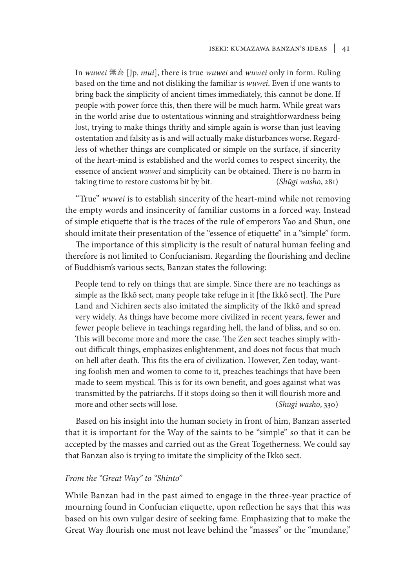In *wuwei* 無為 [Jp. *mui*], there is true *wuwei* and *wuwei* only in form. Ruling based on the time and not disliking the familiar is *wuwei*. Even if one wants to bring back the simplicity of ancient times immediately, this cannot be done. If people with power force this, then there will be much harm. While great wars in the world arise due to ostentatious winning and straightforwardness being lost, trying to make things thrifty and simple again is worse than just leaving ostentation and falsity as is and will actually make disturbances worse. Regardless of whether things are complicated or simple on the surface, if sincerity of the heart-mind is established and the world comes to respect sincerity, the essence of ancient *wuwei* and simplicity can be obtained. There is no harm in taking time to restore customs bit by bit. (*Shūgi washo*, 281)

"True" *wuwei* is to establish sincerity of the heart-mind while not removing the empty words and insincerity of familiar customs in a forced way. Instead of simple etiquette that is the traces of the rule of emperors Yao and Shun, one should imitate their presentation of the "essence of etiquette" in a "simple" form.

The importance of this simplicity is the result of natural human feeling and therefore is not limited to Confucianism. Regarding the flourishing and decline of Buddhism's various sects, Banzan states the following:

People tend to rely on things that are simple. Since there are no teachings as simple as the Ikkō sect, many people take refuge in it [the Ikkō sect]. The Pure Land and Nichiren sects also imitated the simplicity of the Ikkō and spread very widely. As things have become more civilized in recent years, fewer and fewer people believe in teachings regarding hell, the land of bliss, and so on. This will become more and more the case. The Zen sect teaches simply without difficult things, emphasizes enlightenment, and does not focus that much on hell after death. This fits the era of civilization. However, Zen today, wanting foolish men and women to come to it, preaches teachings that have been made to seem mystical. This is for its own benefit, and goes against what was transmitted by the patriarchs. If it stops doing so then it will flourish more and more and other sects will lose. (*Shūgi washo*, 330)

Based on his insight into the human society in front of him, Banzan asserted that it is important for the Way of the saints to be "simple" so that it can be accepted by the masses and carried out as the Great Togetherness. We could say that Banzan also is trying to imitate the simplicity of the Ikkō sect.

## *From the "Great Way" to "Shinto"*

While Banzan had in the past aimed to engage in the three-year practice of mourning found in Confucian etiquette, upon reflection he says that this was based on his own vulgar desire of seeking fame. Emphasizing that to make the Great Way flourish one must not leave behind the "masses" or the "mundane,"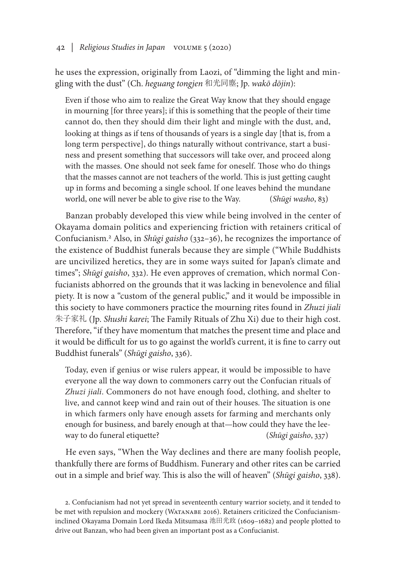he uses the expression, originally from Laozi, of "dimming the light and mingling with the dust" (Ch. *heguang tongjen* 和光同塵; Jp. *wakō dōjin*):

Even if those who aim to realize the Great Way know that they should engage in mourning [for three years]; if this is something that the people of their time cannot do, then they should dim their light and mingle with the dust, and, looking at things as if tens of thousands of years is a single day [that is, from a long term perspective], do things naturally without contrivance, start a business and present something that successors will take over, and proceed along with the masses. One should not seek fame for oneself. Those who do things that the masses cannot are not teachers of the world. This is just getting caught up in forms and becoming a single school. If one leaves behind the mundane world, one will never be able to give rise to the Way. (*Shūgi washo*, 83)

Banzan probably developed this view while being involved in the center of Okayama domain politics and experiencing friction with retainers critical of Confucianism.<sup>2</sup> Also, in *Shūgi gaisho* (332–36), he recognizes the importance of the existence of Buddhist funerals because they are simple ("While Buddhists are uncivilized heretics, they are in some ways suited for Japan's climate and times"; *Shūgi gaisho*, 332). He even approves of cremation, which normal Confucianists abhorred on the grounds that it was lacking in benevolence and filial piety. It is now a "custom of the general public," and it would be impossible in this society to have commoners practice the mourning rites found in *Zhuzi jiali* 朱子家礼 (Jp. *Shushi karei*; The Family Rituals of Zhu Xi) due to their high cost. Therefore, "if they have momentum that matches the present time and place and it would be difficult for us to go against the world's current, it is fine to carry out Buddhist funerals" (*Shūgi gaisho*, 336).

Today, even if genius or wise rulers appear, it would be impossible to have everyone all the way down to commoners carry out the Confucian rituals of *Zhuzi jiali*. Commoners do not have enough food, clothing, and shelter to live, and cannot keep wind and rain out of their houses. The situation is one in which farmers only have enough assets for farming and merchants only enough for business, and barely enough at that—how could they have the leeway to do funeral etiquette? (*Shūgi gaisho*, 337)

He even says, "When the Way declines and there are many foolish people, thankfully there are forms of Buddhism. Funerary and other rites can be carried out in a simple and brief way. This is also the will of heaven" (*Shūgi gaisho*, 338).

<sup>2.</sup> Confucianism had not yet spread in seventeenth century warrior society, and it tended to be met with repulsion and mockery (WATANABE 2016). Retainers criticized the Confucianisminclined Okayama Domain Lord Ikeda Mitsumasa 池田光政 (1609–1682) and people plotted to drive out Banzan, who had been given an important post as a Confucianist.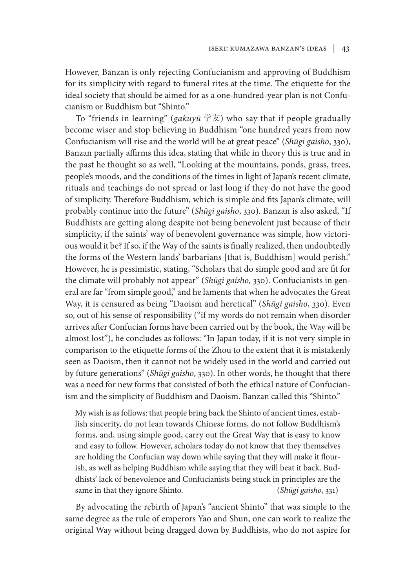However, Banzan is only rejecting Confucianism and approving of Buddhism for its simplicity with regard to funeral rites at the time. The etiquette for the ideal society that should be aimed for as a one-hundred-year plan is not Confucianism or Buddhism but "Shinto."

To "friends in learning" (*gakuyū* 学友) who say that if people gradually become wiser and stop believing in Buddhism "one hundred years from now Confucianism will rise and the world will be at great peace" (*Shūgi gaisho*, 330), Banzan partially affirms this idea, stating that while in theory this is true and in the past he thought so as well, "Looking at the mountains, ponds, grass, trees, people's moods, and the conditions of the times in light of Japan's recent climate, rituals and teachings do not spread or last long if they do not have the good of simplicity. Therefore Buddhism, which is simple and fits Japan's climate, will probably continue into the future" (*Shūgi gaisho*, 330). Banzan is also asked, "If Buddhists are getting along despite not being benevolent just because of their simplicity, if the saints' way of benevolent governance was simple, how victorious would it be? If so, if the Way of the saints is finally realized, then undoubtedly the forms of the Western lands' barbarians [that is, Buddhism] would perish." However, he is pessimistic, stating, "Scholars that do simple good and are fit for the climate will probably not appear" (*Shūgi gaisho*, 330). Confucianists in general are far "from simple good," and he laments that when he advocates the Great Way, it is censured as being "Daoism and heretical" (*Shūgi gaisho*, 330). Even so, out of his sense of responsibility ("if my words do not remain when disorder arrives after Confucian forms have been carried out by the book, the Way will be almost lost"), he concludes as follows: "In Japan today, if it is not very simple in comparison to the etiquette forms of the Zhou to the extent that it is mistakenly seen as Daoism, then it cannot not be widely used in the world and carried out by future generations" (*Shūgi gaisho*, 330). In other words, he thought that there was a need for new forms that consisted of both the ethical nature of Confucianism and the simplicity of Buddhism and Daoism. Banzan called this "Shinto."

My wish is as follows: that people bring back the Shinto of ancient times, establish sincerity, do not lean towards Chinese forms, do not follow Buddhism's forms, and, using simple good, carry out the Great Way that is easy to know and easy to follow. However, scholars today do not know that they themselves are holding the Confucian way down while saying that they will make it flourish, as well as helping Buddhism while saying that they will beat it back. Buddhists' lack of benevolence and Confucianists being stuck in principles are the same in that they ignore Shinto. (*Shūgi gaisho*, 331)

By advocating the rebirth of Japan's "ancient Shinto" that was simple to the same degree as the rule of emperors Yao and Shun, one can work to realize the original Way without being dragged down by Buddhists, who do not aspire for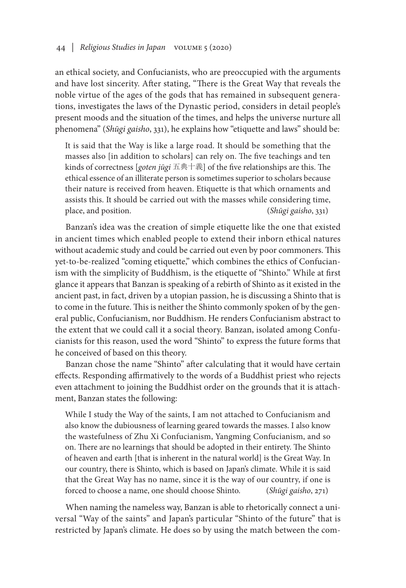an ethical society, and Confucianists, who are preoccupied with the arguments and have lost sincerity. After stating, "There is the Great Way that reveals the noble virtue of the ages of the gods that has remained in subsequent generations, investigates the laws of the Dynastic period, considers in detail people's present moods and the situation of the times, and helps the universe nurture all phenomena" (*Shūgi gaisho*, 331), he explains how "etiquette and laws" should be:

It is said that the Way is like a large road. It should be something that the masses also [in addition to scholars] can rely on. The five teachings and ten kinds of correctness [*goten jūgi* 五典十義] of the five relationships are this. The ethical essence of an illiterate person is sometimes superior to scholars because their nature is received from heaven. Etiquette is that which ornaments and assists this. It should be carried out with the masses while considering time, place, and position. (*Shūgi gaisho*, 331)

Banzan's idea was the creation of simple etiquette like the one that existed in ancient times which enabled people to extend their inborn ethical natures without academic study and could be carried out even by poor commoners. This yet-to-be-realized "coming etiquette," which combines the ethics of Confucianism with the simplicity of Buddhism, is the etiquette of "Shinto." While at first glance it appears that Banzan is speaking of a rebirth of Shinto as it existed in the ancient past, in fact, driven by a utopian passion, he is discussing a Shinto that is to come in the future. This is neither the Shinto commonly spoken of by the general public, Confucianism, nor Buddhism. He renders Confucianism abstract to the extent that we could call it a social theory. Banzan, isolated among Confucianists for this reason, used the word "Shinto" to express the future forms that he conceived of based on this theory.

Banzan chose the name "Shinto" after calculating that it would have certain effects. Responding affirmatively to the words of a Buddhist priest who rejects even attachment to joining the Buddhist order on the grounds that it is attachment, Banzan states the following:

While I study the Way of the saints, I am not attached to Confucianism and also know the dubiousness of learning geared towards the masses. I also know the wastefulness of Zhu Xi Confucianism, Yangming Confucianism, and so on. There are no learnings that should be adopted in their entirety. The Shinto of heaven and earth [that is inherent in the natural world] is the Great Way. In our country, there is Shinto, which is based on Japan's climate. While it is said that the Great Way has no name, since it is the way of our country, if one is forced to choose a name, one should choose Shinto. (*Shūgi gaisho*, 271)

When naming the nameless way, Banzan is able to rhetorically connect a universal "Way of the saints" and Japan's particular "Shinto of the future" that is restricted by Japan's climate. He does so by using the match between the com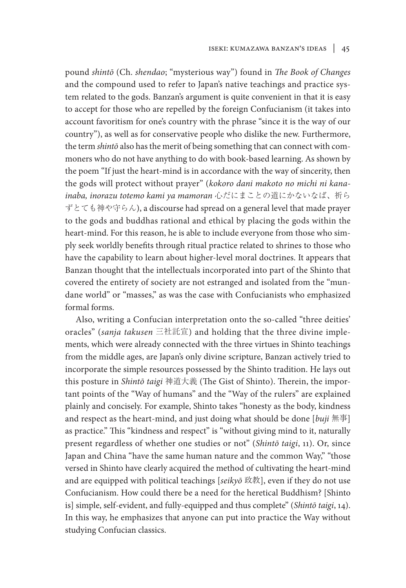pound *shintō* (Ch. *shendao*; "mysterious way") found in *The Book of Changes*  and the compound used to refer to Japan's native teachings and practice system related to the gods. Banzan's argument is quite convenient in that it is easy to accept for those who are repelled by the foreign Confucianism (it takes into account favoritism for one's country with the phrase "since it is the way of our country"), as well as for conservative people who dislike the new. Furthermore, the term *shintō* also has the merit of being something that can connect with commoners who do not have anything to do with book-based learning. As shown by the poem "If just the heart-mind is in accordance with the way of sincerity, then the gods will protect without prayer" (*kokoro dani makoto no michi ni kanainaba, inorazu totemo kami ya mamoran* 心だにまことの道にかないなば、祈ら ずとても神や守らん), a discourse had spread on a general level that made prayer to the gods and buddhas rational and ethical by placing the gods within the heart-mind. For this reason, he is able to include everyone from those who simply seek worldly benefits through ritual practice related to shrines to those who have the capability to learn about higher-level moral doctrines. It appears that Banzan thought that the intellectuals incorporated into part of the Shinto that covered the entirety of society are not estranged and isolated from the "mundane world" or "masses," as was the case with Confucianists who emphasized formal forms.

Also, writing a Confucian interpretation onto the so-called "three deities' oracles" (*sanja takusen* 三社託宣) and holding that the three divine implements, which were already connected with the three virtues in Shinto teachings from the middle ages, are Japan's only divine scripture, Banzan actively tried to incorporate the simple resources possessed by the Shinto tradition. He lays out this posture in *Shintō taigi* 神道大義 (The Gist of Shinto). Therein, the important points of the "Way of humans" and the "Way of the rulers" are explained plainly and concisely. For example, Shinto takes "honesty as the body, kindness and respect as the heart-mind, and just doing what should be done [*buji* 無事] as practice." This "kindness and respect" is "without giving mind to it, naturally present regardless of whether one studies or not" (*Shintō taigi*, 11). Or, since Japan and China "have the same human nature and the common Way," "those versed in Shinto have clearly acquired the method of cultivating the heart-mind and are equipped with political teachings [*seikyō* 政教], even if they do not use Confucianism. How could there be a need for the heretical Buddhism? [Shinto is] simple, self-evident, and fully-equipped and thus complete" (*Shintō taigi*, 14). In this way, he emphasizes that anyone can put into practice the Way without studying Confucian classics.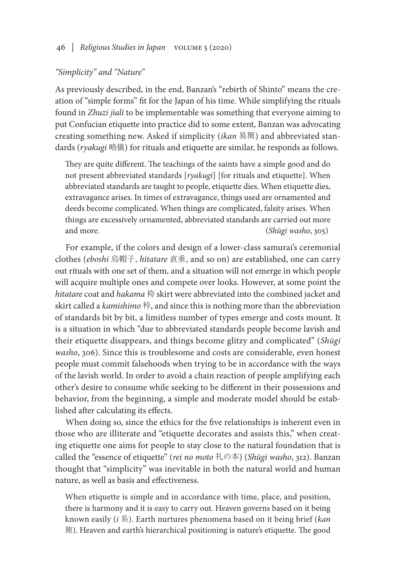## *"Simplicity" and "Nature"*

As previously described, in the end, Banzan's "rebirth of Shinto" means the creation of "simple forms" fit for the Japan of his time. While simplifying the rituals found in *Zhuzi jiali* to be implementable was something that everyone aiming to put Confucian etiquette into practice did to some extent, Banzan was advocating creating something new. Asked if simplicity (*ikan* 易簡) and abbreviated standards (*ryakugi* 略儀) for rituals and etiquette are similar, he responds as follows.

They are quite different. The teachings of the saints have a simple good and do not present abbreviated standards [*ryakugi*] [for rituals and etiquette]. When abbreviated standards are taught to people, etiquette dies. When etiquette dies, extravagance arises. In times of extravagance, things used are ornamented and deeds become complicated. When things are complicated, falsity arises. When things are excessively ornamented, abbreviated standards are carried out more and more. (*Shūgi washo*, 305)

For example, if the colors and design of a lower-class samurai's ceremonial clothes (*eboshi* 烏帽子, *hitatare* 直垂, and so on) are established, one can carry out rituals with one set of them, and a situation will not emerge in which people will acquire multiple ones and compete over looks. However, at some point the *hitatare* coat and *hakama* 袴 skirt were abbreviated into the combined jacket and skirt called a *kamishimo* 裃, and since this is nothing more than the abbreviation of standards bit by bit, a limitless number of types emerge and costs mount. It is a situation in which "due to abbreviated standards people become lavish and their etiquette disappears, and things become glitzy and complicated" (*Shūgi washo*, 306). Since this is troublesome and costs are considerable, even honest people must commit falsehoods when trying to be in accordance with the ways of the lavish world. In order to avoid a chain reaction of people amplifying each other's desire to consume while seeking to be different in their possessions and behavior, from the beginning, a simple and moderate model should be established after calculating its effects.

When doing so, since the ethics for the five relationships is inherent even in those who are illiterate and "etiquette decorates and assists this," when creating etiquette one aims for people to stay close to the natural foundation that is called the "essence of etiquette" (*rei no moto* 礼の本) (*Shūgi washo*, 312). Banzan thought that "simplicity" was inevitable in both the natural world and human nature, as well as basis and effectiveness.

When etiquette is simple and in accordance with time, place, and position, there is harmony and it is easy to carry out. Heaven governs based on it being known easily (*i* 易). Earth nurtures phenomena based on it being brief (*kan*  簡). Heaven and earth's hierarchical positioning is nature's etiquette. The good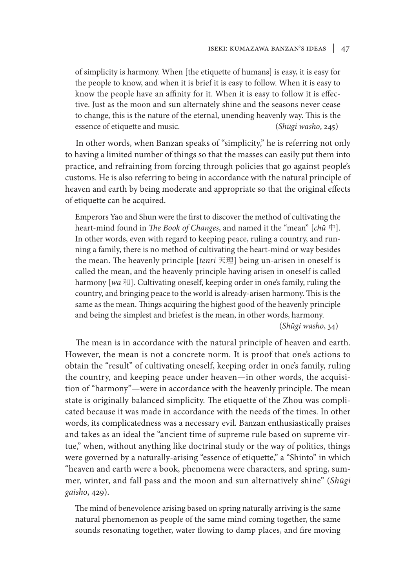of simplicity is harmony. When [the etiquette of humans] is easy, it is easy for the people to know, and when it is brief it is easy to follow. When it is easy to know the people have an affinity for it. When it is easy to follow it is effective. Just as the moon and sun alternately shine and the seasons never cease to change, this is the nature of the eternal, unending heavenly way. This is the essence of etiquette and music. (*Shūgi washo*, 245)

In other words, when Banzan speaks of "simplicity," he is referring not only to having a limited number of things so that the masses can easily put them into practice, and refraining from forcing through policies that go against people's customs. He is also referring to being in accordance with the natural principle of heaven and earth by being moderate and appropriate so that the original effects of etiquette can be acquired.

Emperors Yao and Shun were the first to discover the method of cultivating the heart-mind found in *The Book of Changes*, and named it the "mean" [*chū* 中]. In other words, even with regard to keeping peace, ruling a country, and running a family, there is no method of cultivating the heart-mind or way besides the mean. The heavenly principle [*tenri* 天理] being un-arisen in oneself is called the mean, and the heavenly principle having arisen in oneself is called harmony [wa 和]. Cultivating oneself, keeping order in one's family, ruling the country, and bringing peace to the world is already-arisen harmony. This is the same as the mean. Things acquiring the highest good of the heavenly principle and being the simplest and briefest is the mean, in other words, harmony. (*Shūgi washo*, 34)

The mean is in accordance with the natural principle of heaven and earth. However, the mean is not a concrete norm. It is proof that one's actions to obtain the "result" of cultivating oneself, keeping order in one's family, ruling the country, and keeping peace under heaven—in other words, the acquisition of "harmony"—were in accordance with the heavenly principle. The mean state is originally balanced simplicity. The etiquette of the Zhou was complicated because it was made in accordance with the needs of the times. In other words, its complicatedness was a necessary evil. Banzan enthusiastically praises and takes as an ideal the "ancient time of supreme rule based on supreme virtue," when, without anything like doctrinal study or the way of politics, things were governed by a naturally-arising "essence of etiquette," a "Shinto" in which "heaven and earth were a book, phenomena were characters, and spring, summer, winter, and fall pass and the moon and sun alternatively shine" (*Shūgi gaisho*, 429).

The mind of benevolence arising based on spring naturally arriving is the same natural phenomenon as people of the same mind coming together, the same sounds resonating together, water flowing to damp places, and fire moving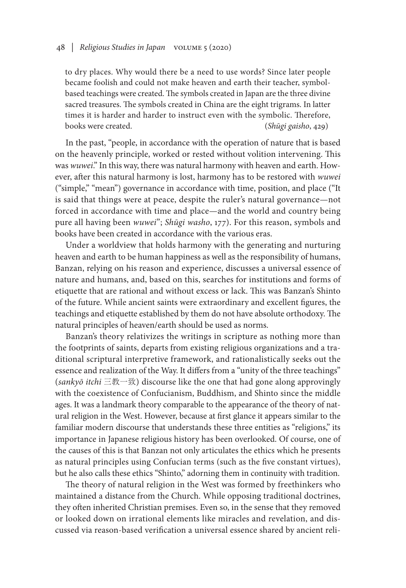to dry places. Why would there be a need to use words? Since later people became foolish and could not make heaven and earth their teacher, symbolbased teachings were created. The symbols created in Japan are the three divine sacred treasures. The symbols created in China are the eight trigrams. In latter times it is harder and harder to instruct even with the symbolic. Therefore, books were created. (*Shūgi gaisho*, 429)

In the past, "people, in accordance with the operation of nature that is based on the heavenly principle, worked or rested without volition intervening. This was *wuwei*." In this way, there was natural harmony with heaven and earth. However, after this natural harmony is lost, harmony has to be restored with *wuwei* ("simple," "mean") governance in accordance with time, position, and place ("It is said that things were at peace, despite the ruler's natural governance—not forced in accordance with time and place—and the world and country being pure all having been *wuwei*"; *Shūgi washo*, 177). For this reason, symbols and books have been created in accordance with the various eras.

Under a worldview that holds harmony with the generating and nurturing heaven and earth to be human happiness as well as the responsibility of humans, Banzan, relying on his reason and experience, discusses a universal essence of nature and humans, and, based on this, searches for institutions and forms of etiquette that are rational and without excess or lack. This was Banzan's Shinto of the future. While ancient saints were extraordinary and excellent figures, the teachings and etiquette established by them do not have absolute orthodoxy. The natural principles of heaven/earth should be used as norms.

Banzan's theory relativizes the writings in scripture as nothing more than the footprints of saints, departs from existing religious organizations and a traditional scriptural interpretive framework, and rationalistically seeks out the essence and realization of the Way. It differs from a "unity of the three teachings" (*sankyō itchi* 三教一致) discourse like the one that had gone along approvingly with the coexistence of Confucianism, Buddhism, and Shinto since the middle ages. It was a landmark theory comparable to the appearance of the theory of natural religion in the West. However, because at first glance it appears similar to the familiar modern discourse that understands these three entities as "religions," its importance in Japanese religious history has been overlooked. Of course, one of the causes of this is that Banzan not only articulates the ethics which he presents as natural principles using Confucian terms (such as the five constant virtues), but he also calls these ethics "Shinto," adorning them in continuity with tradition.

The theory of natural religion in the West was formed by freethinkers who maintained a distance from the Church. While opposing traditional doctrines, they often inherited Christian premises. Even so, in the sense that they removed or looked down on irrational elements like miracles and revelation, and discussed via reason-based verification a universal essence shared by ancient reli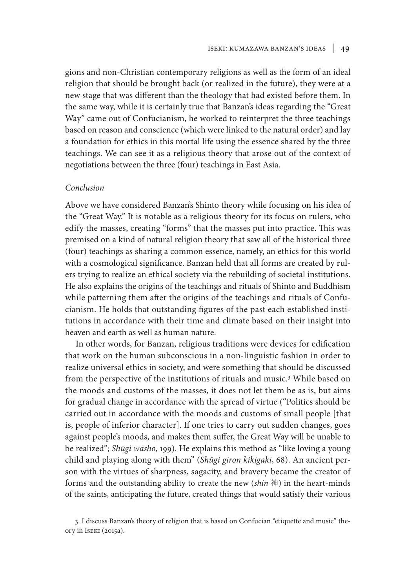gions and non-Christian contemporary religions as well as the form of an ideal religion that should be brought back (or realized in the future), they were at a new stage that was different than the theology that had existed before them. In the same way, while it is certainly true that Banzan's ideas regarding the "Great Way" came out of Confucianism, he worked to reinterpret the three teachings based on reason and conscience (which were linked to the natural order) and lay a foundation for ethics in this mortal life using the essence shared by the three teachings. We can see it as a religious theory that arose out of the context of negotiations between the three (four) teachings in East Asia.

#### *Conclusion*

Above we have considered Banzan's Shinto theory while focusing on his idea of the "Great Way." It is notable as a religious theory for its focus on rulers, who edify the masses, creating "forms" that the masses put into practice. This was premised on a kind of natural religion theory that saw all of the historical three (four) teachings as sharing a common essence, namely, an ethics for this world with a cosmological significance. Banzan held that all forms are created by rulers trying to realize an ethical society via the rebuilding of societal institutions. He also explains the origins of the teachings and rituals of Shinto and Buddhism while patterning them after the origins of the teachings and rituals of Confucianism. He holds that outstanding figures of the past each established institutions in accordance with their time and climate based on their insight into heaven and earth as well as human nature.

In other words, for Banzan, religious traditions were devices for edification that work on the human subconscious in a non-linguistic fashion in order to realize universal ethics in society, and were something that should be discussed from the perspective of the institutions of rituals and music.<sup>3</sup> While based on the moods and customs of the masses, it does not let them be as is, but aims for gradual change in accordance with the spread of virtue ("Politics should be carried out in accordance with the moods and customs of small people [that is, people of inferior character]. If one tries to carry out sudden changes, goes against people's moods, and makes them suffer, the Great Way will be unable to be realized"; *Shūgi washo*, 199). He explains this method as "like loving a young child and playing along with them" (*Shūgi giron kikigaki*, 68). An ancient person with the virtues of sharpness, sagacity, and bravery became the creator of forms and the outstanding ability to create the new (*shin* 神) in the heart-minds of the saints, anticipating the future, created things that would satisfy their various

<sup>3.</sup> I discuss Banzan's theory of religion that is based on Confucian "etiquette and music" theory in Iseki (2015a).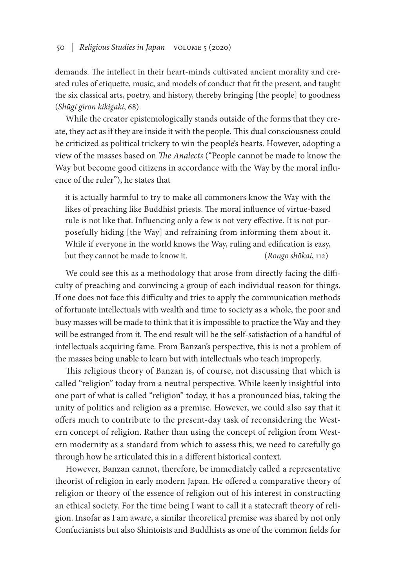demands. The intellect in their heart-minds cultivated ancient morality and created rules of etiquette, music, and models of conduct that fit the present, and taught the six classical arts, poetry, and history, thereby bringing [the people] to goodness (*Shūgi giron kikigaki*, 68).

While the creator epistemologically stands outside of the forms that they create, they act as if they are inside it with the people. This dual consciousness could be criticized as political trickery to win the people's hearts. However, adopting a view of the masses based on *The Analects* ("People cannot be made to know the Way but become good citizens in accordance with the Way by the moral influence of the ruler"), he states that

it is actually harmful to try to make all commoners know the Way with the likes of preaching like Buddhist priests. The moral influence of virtue-based rule is not like that. Influencing only a few is not very effective. It is not purposefully hiding [the Way] and refraining from informing them about it. While if everyone in the world knows the Way, ruling and edification is easy, but they cannot be made to know it. (*Rongo shōkai*, 112)

We could see this as a methodology that arose from directly facing the difficulty of preaching and convincing a group of each individual reason for things. If one does not face this difficulty and tries to apply the communication methods of fortunate intellectuals with wealth and time to society as a whole, the poor and busy masses will be made to think that it is impossible to practice the Way and they will be estranged from it. The end result will be the self-satisfaction of a handful of intellectuals acquiring fame. From Banzan's perspective, this is not a problem of the masses being unable to learn but with intellectuals who teach improperly.

This religious theory of Banzan is, of course, not discussing that which is called "religion" today from a neutral perspective. While keenly insightful into one part of what is called "religion" today, it has a pronounced bias, taking the unity of politics and religion as a premise. However, we could also say that it offers much to contribute to the present-day task of reconsidering the Western concept of religion. Rather than using the concept of religion from Western modernity as a standard from which to assess this, we need to carefully go through how he articulated this in a different historical context.

However, Banzan cannot, therefore, be immediately called a representative theorist of religion in early modern Japan. He offered a comparative theory of religion or theory of the essence of religion out of his interest in constructing an ethical society. For the time being I want to call it a statecraft theory of religion. Insofar as I am aware, a similar theoretical premise was shared by not only Confucianists but also Shintoists and Buddhists as one of the common fields for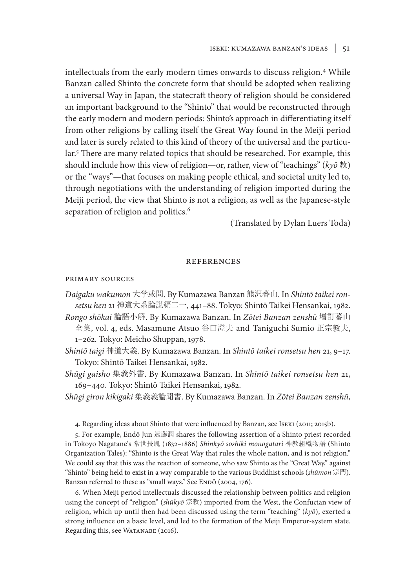intellectuals from the early modern times onwards to discuss religion.4 While Banzan called Shinto the concrete form that should be adopted when realizing a universal Way in Japan, the statecraft theory of religion should be considered an important background to the "Shinto" that would be reconstructed through the early modern and modern periods: Shinto's approach in differentiating itself from other religions by calling itself the Great Way found in the Meiji period and later is surely related to this kind of theory of the universal and the particular.<sup>5</sup> There are many related topics that should be researched. For example, this should include how this view of religion—or, rather, view of "teachings" (*kyō* 教) or the "ways"—that focuses on making people ethical, and societal unity led to, through negotiations with the understanding of religion imported during the Meiji period, the view that Shinto is not a religion, as well as the Japanese-style separation of religion and politics.<sup>6</sup>

(Translated by Dylan Luers Toda)

#### references

#### primary sources

- *Daigaku wakumon* 大学或問. By Kumazawa Banzan 熊沢蕃山. In *Shintō taikei ronsetsu hen* 21 神道大系論説編二一, 441–88. Tokyo: Shintō Taikei Hensankai, 1982.
- *Rongo shōkai* 論語小解. By Kumazawa Banzan. In *Zōtei Banzan zenshū* 増訂蕃山 全集, vol. 4, eds. Masamune Atsuo 谷口澄夫 and Taniguchi Sumio 正宗敦夫, 1–262. Tokyo: Meicho Shuppan, 1978.
- *Shintō taigi* 神道大義. By Kumazawa Banzan. In *Shintō taikei ronsetsu hen* 21, 9–17. Tokyo: Shintō Taikei Hensankai, 1982.
- *Shūgi gaisho* 集義外書. By Kumazawa Banzan. In *Shintō taikei ronsetsu hen* 21, 169–440. Tokyo: Shintō Taikei Hensankai, 1982.
- *Shūgi giron kikigaki* 集義義論聞書. By Kumazawa Banzan. In *Zōtei Banzan zenshū*,
	- 4. Regarding ideas about Shinto that were influenced by Banzan, see Iseki (2011; 2015b).

5. For example, Endō Jun 遠藤潤 shares the following assertion of a Shinto priest recorded in Tokoyo Nagatane's 常世長胤 (1832–1886) *Shinkyō soshiki monogatari* 神教組織物語 (Shinto Organization Tales): "Shinto is the Great Way that rules the whole nation, and is not religion." We could say that this was the reaction of someone, who saw Shinto as the "Great Way," against "Shinto" being held to exist in a way comparable to the various Buddhist schools (*shūmon* 宗門). Banzan referred to these as "small ways." See ENDO (2004, 176).

6. When Meiji period intellectuals discussed the relationship between politics and religion using the concept of "religion" (*shūkyō* 宗教) imported from the West, the Confucian view of religion, which up until then had been discussed using the term "teaching" (*kyō*), exerted a strong influence on a basic level, and led to the formation of the Meiji Emperor-system state. Regarding this, see WATANABE (2016).